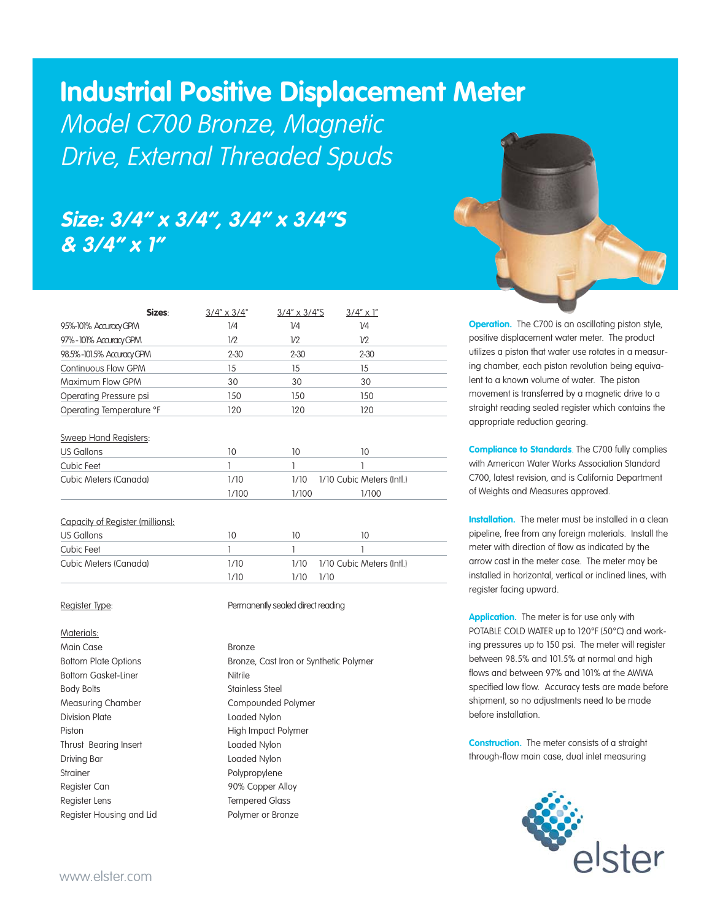# **Industrial Positive Displacement Meter**

Model C700 Bronze, Magnetic Drive, External Threaded Spuds

## **Size: 3/4" x 3/4", 3/4" x 3/4"S & 3/4" x 1"**

| Sizes:                    | $3/4'' \times 3/4''$ | $3/4'' \times 3/4''$ S | $3/4'' \times 1''$ |  |
|---------------------------|----------------------|------------------------|--------------------|--|
| 95%-101% Accuracy GPM     | 1/4                  | 1/4                    | 1/4                |  |
| 97%-101% Accuracy GPM     | 1/2                  | 1/2                    | 1/2                |  |
| 98.5%-101.5% Accuracy GPM | $2 - 30$             | $2 - 30$               | $2 - 30$           |  |
| Continuous Flow GPM       | 15                   | 15                     | 15                 |  |
| Maximum Flow GPM          | 30                   | 30                     | 30                 |  |
| Operating Pressure psi    | 150                  | 150                    | 150                |  |
| Operating Temperature °F  | 120                  | 120                    | 120                |  |
|                           |                      |                        |                    |  |

Sweep Hand Registers:

| US Gallons            |       |                                |       |
|-----------------------|-------|--------------------------------|-------|
| Cubic Feet            |       |                                |       |
| Cubic Meters (Canada) | 1/10  | 1/10 1/10 Cubic Meters (Intl.) |       |
|                       | 1/100 | 1/100                          | 1/100 |

| Capacity of Register (millions): |      |       |                                |
|----------------------------------|------|-------|--------------------------------|
| US Gallons                       | 10   | Ю     |                                |
| Cubic Feet                       |      |       |                                |
| Cubic Meters (Canada)            | 1/10 |       | 1/10 1/10 Cubic Meters (Intl.) |
|                                  | 1/10 | 1/10- | 1/10                           |

Materials:

Main Case **Bronze** Bottom Gasket-Liner Nitrile Body Bolts **Stainless** Steel Measuring Chamber Compounded Polymer Division Plate **Loaded Nylon** Piston **High Impact Polymer** Thrust Bearing Insert **Loaded Nylon** Driving Bar Loaded Nylon Strainer Polypropylene Register Can **90% Copper Alloy** Register Lens Tempered Glass Register Housing and Lid Polymer or Bronze

## Register Type: **Permanently sealed direct reading**

Bottom Plate Options **Bronze**, Cast Iron or Synthetic Polymer



**Operation.** The C700 is an oscillating piston style, positive displacement water meter. The product utilizes a piston that water use rotates in a measuring chamber, each piston revolution being equivalent to a known volume of water. The piston movement is transferred by a magnetic drive to a straight reading sealed register which contains the appropriate reduction gearing.

**Compliance to Standards**. The C700 fully complies with American Water Works Association Standard C700, latest revision, and is California Department of Weights and Measures approved.

**Installation.** The meter must be installed in a clean pipeline, free from any foreign materials. Install the meter with direction of flow as indicated by the arrow cast in the meter case. The meter may be installed in horizontal, vertical or inclined lines, with register facing upward.

**Application.** The meter is for use only with POTABLE COLD WATER up to 120°F (50°C) and working pressures up to 150 psi. The meter will register between 98.5% and 101.5% at normal and high flows and between 97% and 101% at the AWWA specified low flow. Accuracy tests are made before shipment, so no adjustments need to be made before installation.

**Construction.** The meter consists of a straight through-flow main case, dual inlet measuring